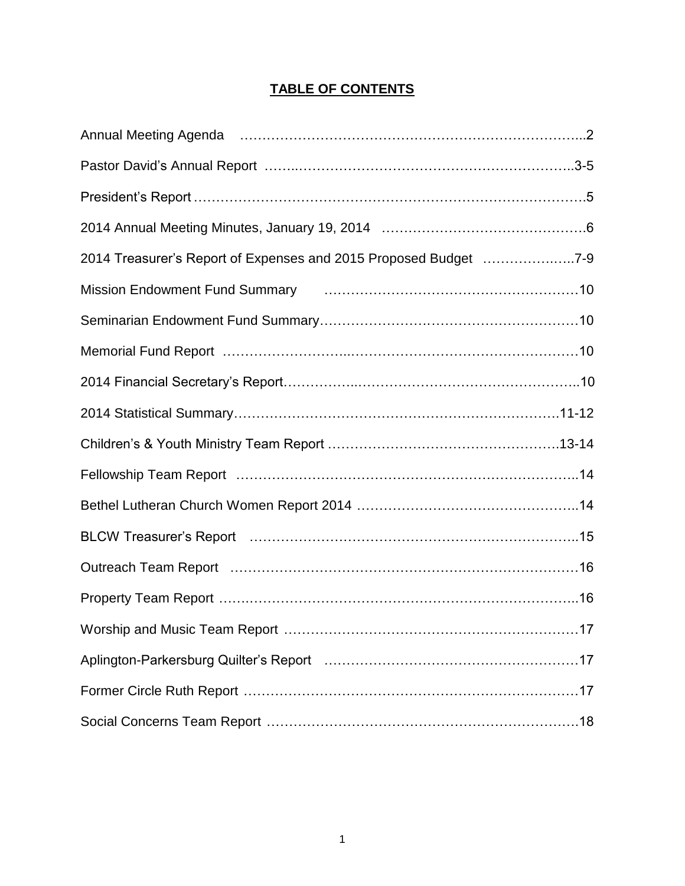## **TABLE OF CONTENTS**

| 2014 Treasurer's Report of Expenses and 2015 Proposed Budget 7-9                                               |     |
|----------------------------------------------------------------------------------------------------------------|-----|
| Mission Endowment Fund Summary [19] Mission Endowment Fund Summary                                             |     |
|                                                                                                                |     |
|                                                                                                                |     |
|                                                                                                                |     |
|                                                                                                                |     |
|                                                                                                                |     |
|                                                                                                                |     |
|                                                                                                                |     |
| BLCW Treasurer's Report (and the contract of the contract of the contract of the contract of the contract of t |     |
|                                                                                                                |     |
|                                                                                                                |     |
|                                                                                                                | .17 |
|                                                                                                                |     |
|                                                                                                                |     |
|                                                                                                                |     |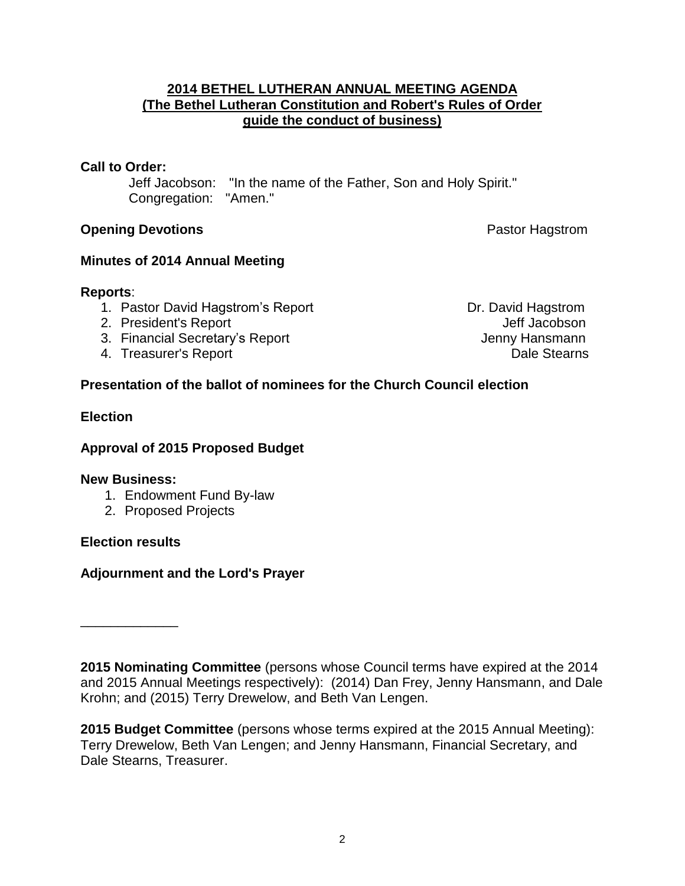### **2014 BETHEL LUTHERAN ANNUAL MEETING AGENDA (The Bethel Lutheran Constitution and Robert's Rules of Order guide the conduct of business)**

## **Call to Order:**

Jeff Jacobson: "In the name of the Father, Son and Holy Spirit." Congregation: "Amen."

## **Opening Devotions Pastor Hagstrom**

## **Minutes of 2014 Annual Meeting**

## **Reports**:

- 1. Pastor David Hagstrom's Report **Dr. David Hagstrom**
- 2. President's Report Communication of the Communication of the Jeff Jacobson
- 3. Financial Secretary's Report **Contract Contract Contract Contract Contract Contract Contract Contract Contract Contract Contract Contract Contract Contract Contract Contract Contract Contract Contract Contract Contract**
- A. Treasurer's Report **Dale Stearns**

## **Presentation of the ballot of nominees for the Church Council election**

## **Election**

## **Approval of 2015 Proposed Budget**

### **New Business:**

- 1. Endowment Fund By-law
- 2. Proposed Projects

## **Election results**

\_\_\_\_\_\_\_\_\_\_\_\_\_

## **Adjournment and the Lord's Prayer**

**2015 Nominating Committee** (persons whose Council terms have expired at the 2014 and 2015 Annual Meetings respectively): (2014) Dan Frey, Jenny Hansmann, and Dale Krohn; and (2015) Terry Drewelow, and Beth Van Lengen.

**2015 Budget Committee** (persons whose terms expired at the 2015 Annual Meeting): Terry Drewelow, Beth Van Lengen; and Jenny Hansmann, Financial Secretary, and Dale Stearns, Treasurer.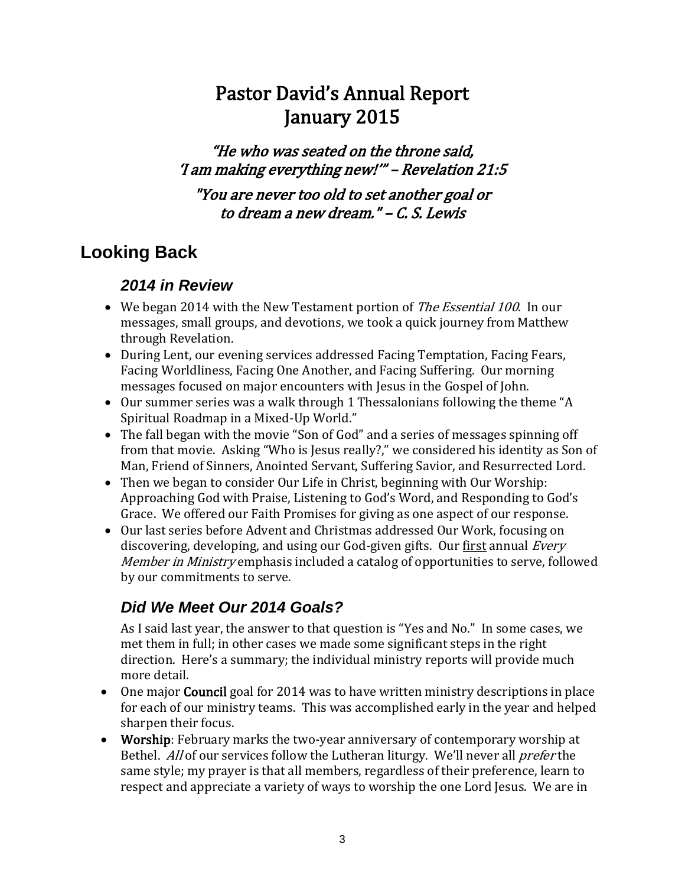# Pastor David's Annual Report January 2015

"He who was seated on the throne said, 'I am making everything new!'" – Revelation 21:5

"You are never too old to set another goal or to dream a new dream." – [C. S. Lewis](https://www.facebook.com/CSLewisOfficial) 

## **Looking Back**

## *2014 in Review*

- We began 2014 with the New Testament portion of *The Essential 100*. In our messages, small groups, and devotions, we took a quick journey from Matthew through Revelation.
- During Lent, our evening services addressed Facing Temptation, Facing Fears, Facing Worldliness, Facing One Another, and Facing Suffering. Our morning messages focused on major encounters with Jesus in the Gospel of John.
- Our summer series was a walk through 1 Thessalonians following the theme "A Spiritual Roadmap in a Mixed-Up World."
- The fall began with the movie "Son of God" and a series of messages spinning off from that movie. Asking "Who is Jesus really?," we considered his identity as Son of Man, Friend of Sinners, Anointed Servant, Suffering Savior, and Resurrected Lord.
- Then we began to consider Our Life in Christ, beginning with Our Worship: Approaching God with Praise, Listening to God's Word, and Responding to God's Grace. We offered our Faith Promises for giving as one aspect of our response.
- Our last series before Advent and Christmas addressed Our Work, focusing on discovering, developing, and using our God-given gifts. Our first annual *Every* Member in Ministry emphasis included a catalog of opportunities to serve, followed by our commitments to serve.

## *Did We Meet Our 2014 Goals?*

As I said last year, the answer to that question is "Yes and No." In some cases, we met them in full; in other cases we made some significant steps in the right direction. Here's a summary; the individual ministry reports will provide much more detail.

- One major **Council** goal for 2014 was to have written ministry descriptions in place for each of our ministry teams. This was accomplished early in the year and helped sharpen their focus.
- Worship: February marks the two-year anniversary of contemporary worship at Bethel. All of our services follow the Lutheran liturgy. We'll never all *prefer* the same style; my prayer is that all members, regardless of their preference, learn to respect and appreciate a variety of ways to worship the one Lord Jesus. We are in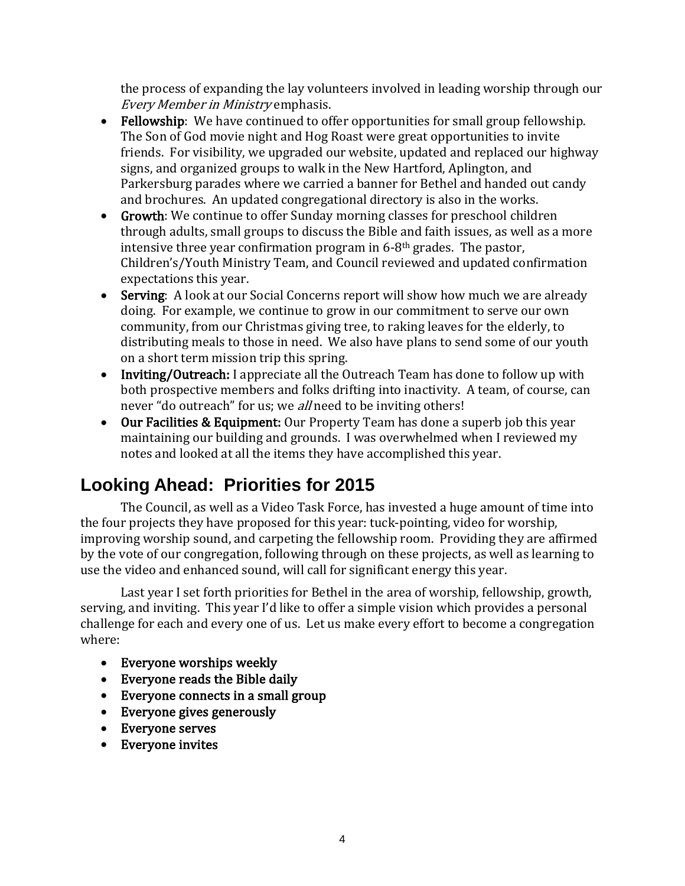the process of expanding the lay volunteers involved in leading worship through our Every Member in Ministry emphasis.

- Fellowship: We have continued to offer opportunities for small group fellowship. The Son of God movie night and Hog Roast were great opportunities to invite friends. For visibility, we upgraded our website, updated and replaced our highway signs, and organized groups to walk in the New Hartford, Aplington, and Parkersburg parades where we carried a banner for Bethel and handed out candy and brochures. An updated congregational directory is also in the works.
- Growth: We continue to offer Sunday morning classes for preschool children through adults, small groups to discuss the Bible and faith issues, as well as a more intensive three year confirmation program in  $6-8$ <sup>th</sup> grades. The pastor, Children's/Youth Ministry Team, and Council reviewed and updated confirmation expectations this year.
- Serving: A look at our Social Concerns report will show how much we are already doing. For example, we continue to grow in our commitment to serve our own community, from our Christmas giving tree, to raking leaves for the elderly, to distributing meals to those in need. We also have plans to send some of our youth on a short term mission trip this spring.
- Inviting/Outreach: I appreciate all the Outreach Team has done to follow up with both prospective members and folks drifting into inactivity. A team, of course, can never "do outreach" for us; we *all* need to be inviting others!
- Our Facilities & Equipment: Our Property Team has done a superb job this year maintaining our building and grounds. I was overwhelmed when I reviewed my notes and looked at all the items they have accomplished this year.

# **Looking Ahead: Priorities for 2015**

The Council, as well as a Video Task Force, has invested a huge amount of time into the four projects they have proposed for this year: tuck-pointing, video for worship, improving worship sound, and carpeting the fellowship room. Providing they are affirmed by the vote of our congregation, following through on these projects, as well as learning to use the video and enhanced sound, will call for significant energy this year.

Last year I set forth priorities for Bethel in the area of worship, fellowship, growth, serving, and inviting. This year I'd like to offer a simple vision which provides a personal challenge for each and every one of us. Let us make every effort to become a congregation where:

- Everyone worships weekly
- Everyone reads the Bible daily
- Everyone connects in a small group
- Everyone gives generously
- Everyone serves
- Everyone invites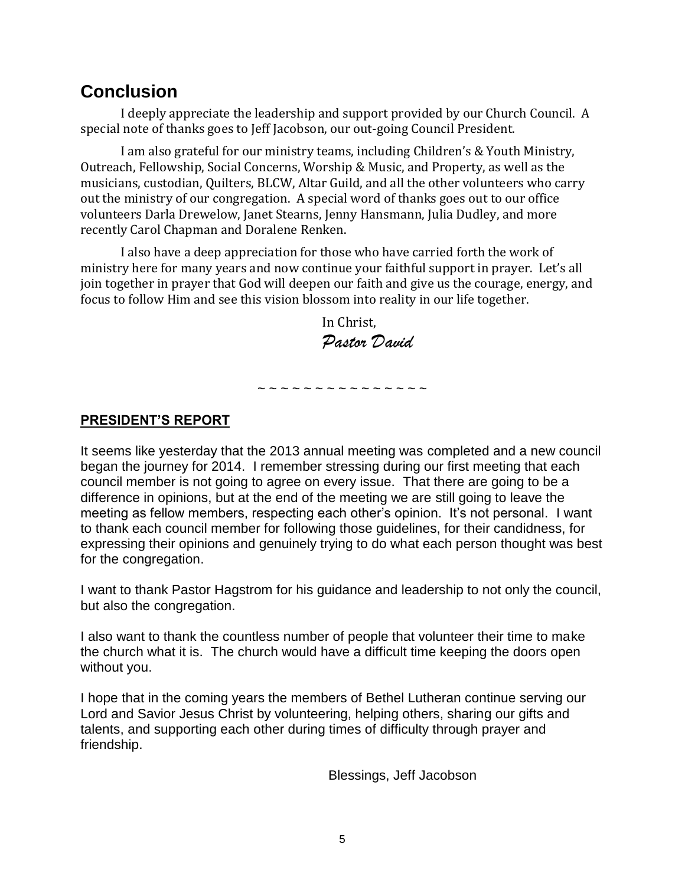## **Conclusion**

I deeply appreciate the leadership and support provided by our Church Council. A special note of thanks goes to Jeff Jacobson, our out-going Council President.

I am also grateful for our ministry teams, including Children's & Youth Ministry, Outreach, Fellowship, Social Concerns, Worship & Music, and Property, as well as the musicians, custodian, Quilters, BLCW, Altar Guild, and all the other volunteers who carry out the ministry of our congregation. A special word of thanks goes out to our office volunteers Darla Drewelow, Janet Stearns, Jenny Hansmann, Julia Dudley, and more recently Carol Chapman and Doralene Renken.

I also have a deep appreciation for those who have carried forth the work of ministry here for many years and now continue your faithful support in prayer. Let's all join together in prayer that God will deepen our faith and give us the courage, energy, and focus to follow Him and see this vision blossom into reality in our life together.

> In Christ, *Pastor David*

**PRESIDENT'S REPORT**

It seems like yesterday that the 2013 annual meeting was completed and a new council began the journey for 2014. I remember stressing during our first meeting that each council member is not going to agree on every issue. That there are going to be a difference in opinions, but at the end of the meeting we are still going to leave the meeting as fellow members, respecting each other's opinion. It's not personal. I want to thank each council member for following those guidelines, for their candidness, for expressing their opinions and genuinely trying to do what each person thought was best for the congregation.

~ ~ ~ ~ ~ ~ ~ ~ ~ ~ ~ ~ ~ ~ ~

I want to thank Pastor Hagstrom for his guidance and leadership to not only the council, but also the congregation.

I also want to thank the countless number of people that volunteer their time to make the church what it is. The church would have a difficult time keeping the doors open without you.

I hope that in the coming years the members of Bethel Lutheran continue serving our Lord and Savior Jesus Christ by volunteering, helping others, sharing our gifts and talents, and supporting each other during times of difficulty through prayer and friendship.

Blessings, Jeff Jacobson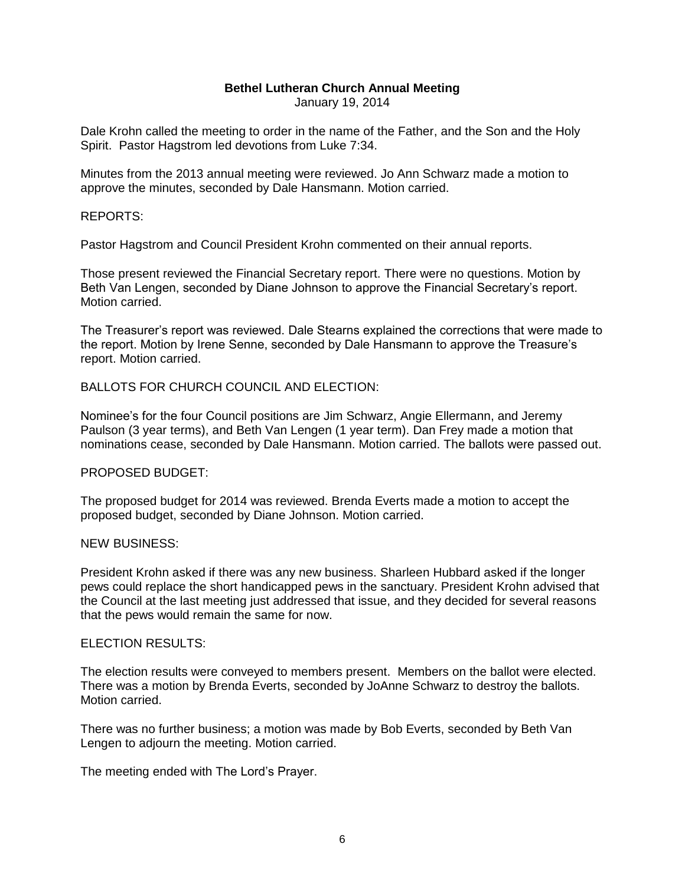#### **Bethel Lutheran Church Annual Meeting**

January 19, 2014

Dale Krohn called the meeting to order in the name of the Father, and the Son and the Holy Spirit. Pastor Hagstrom led devotions from Luke 7:34.

Minutes from the 2013 annual meeting were reviewed. Jo Ann Schwarz made a motion to approve the minutes, seconded by Dale Hansmann. Motion carried.

#### REPORTS:

Pastor Hagstrom and Council President Krohn commented on their annual reports.

Those present reviewed the Financial Secretary report. There were no questions. Motion by Beth Van Lengen, seconded by Diane Johnson to approve the Financial Secretary's report. Motion carried.

The Treasurer's report was reviewed. Dale Stearns explained the corrections that were made to the report. Motion by Irene Senne, seconded by Dale Hansmann to approve the Treasure's report. Motion carried.

#### BALLOTS FOR CHURCH COUNCIL AND ELECTION:

Nominee's for the four Council positions are Jim Schwarz, Angie Ellermann, and Jeremy Paulson (3 year terms), and Beth Van Lengen (1 year term). Dan Frey made a motion that nominations cease, seconded by Dale Hansmann. Motion carried. The ballots were passed out.

#### PROPOSED BUDGET:

The proposed budget for 2014 was reviewed. Brenda Everts made a motion to accept the proposed budget, seconded by Diane Johnson. Motion carried.

#### NEW BUSINESS:

President Krohn asked if there was any new business. Sharleen Hubbard asked if the longer pews could replace the short handicapped pews in the sanctuary. President Krohn advised that the Council at the last meeting just addressed that issue, and they decided for several reasons that the pews would remain the same for now.

#### ELECTION RESULTS:

The election results were conveyed to members present. Members on the ballot were elected. There was a motion by Brenda Everts, seconded by JoAnne Schwarz to destroy the ballots. Motion carried.

There was no further business; a motion was made by Bob Everts, seconded by Beth Van Lengen to adjourn the meeting. Motion carried.

The meeting ended with The Lord's Prayer.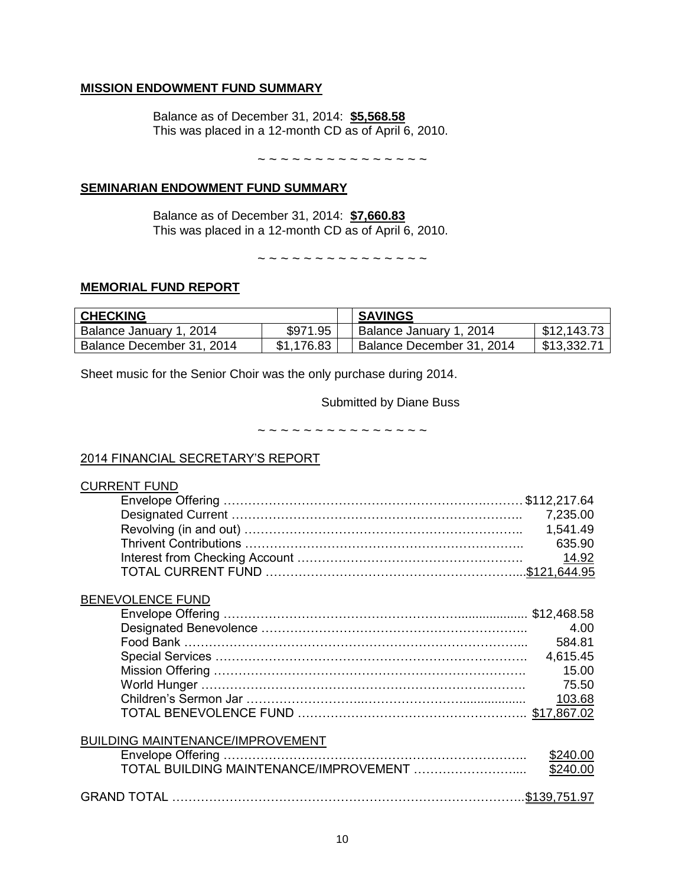## **MISSION ENDOWMENT FUND SUMMARY**

Balance as of December 31, 2014: **\$5,568.58** This was placed in a 12-month CD as of April 6, 2010.

~ ~ ~ ~ ~ ~ ~ ~ ~ ~ ~ ~ ~ ~ ~

#### **SEMINARIAN ENDOWMENT FUND SUMMARY**

Balance as of December 31, 2014: **\$7,660.83** This was placed in a 12-month CD as of April 6, 2010.

~ ~ ~ ~ ~ ~ ~ ~ ~ ~ ~ ~ ~ ~ ~

#### **MEMORIAL FUND REPORT**

| <b>CHECKING</b>           |            | <b>SAVINGS</b>            |             |
|---------------------------|------------|---------------------------|-------------|
| Balance January 1, 2014   | \$971.95   | Balance January 1, 2014   | \$12,143.73 |
| Balance December 31, 2014 | \$1,176.83 | Balance December 31, 2014 | \$13,332.71 |

Sheet music for the Senior Choir was the only purchase during 2014.

Submitted by Diane Buss

~ ~ ~ ~ ~ ~ ~ ~ ~ ~ ~ ~ ~ ~ ~

#### 2014 FINANCIAL SECRETARY'S REPORT

| <b>CURRENT FUND</b>                     |          |
|-----------------------------------------|----------|
|                                         |          |
|                                         | 7,235.00 |
|                                         | 1,541.49 |
|                                         | 635.90   |
|                                         | 14.92    |
|                                         |          |
| <b>BENEVOLENCE FUND</b>                 |          |
|                                         |          |
|                                         | 4.00     |
|                                         | 584.81   |
|                                         | 4,615.45 |
|                                         | 15.00    |
|                                         | 75.50    |
|                                         | 103.68   |
|                                         |          |
|                                         |          |
| <b>BUILDING MAINTENANCE/IMPROVEMENT</b> |          |
|                                         | \$240.00 |
| TOTAL BUILDING MAINTENANCE/IMPROVEMENT  | \$240.00 |
|                                         |          |
|                                         |          |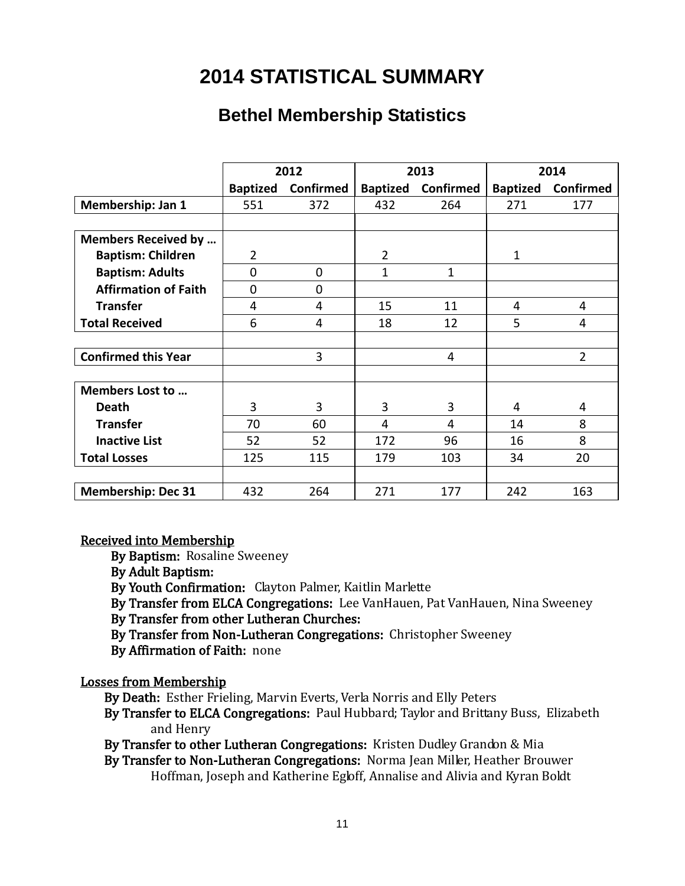# **2014 STATISTICAL SUMMARY**

## **Bethel Membership Statistics**

|                             |                 | 2012             |                 | 2013             |                 | 2014             |  |
|-----------------------------|-----------------|------------------|-----------------|------------------|-----------------|------------------|--|
|                             | <b>Baptized</b> | <b>Confirmed</b> | <b>Baptized</b> | <b>Confirmed</b> | <b>Baptized</b> | <b>Confirmed</b> |  |
| Membership: Jan 1           | 551             | 372              | 432             | 264              | 271             | 177              |  |
|                             |                 |                  |                 |                  |                 |                  |  |
| <b>Members Received by </b> |                 |                  |                 |                  |                 |                  |  |
| <b>Baptism: Children</b>    | $\overline{2}$  |                  | $\overline{2}$  |                  | $\mathbf{1}$    |                  |  |
| <b>Baptism: Adults</b>      | $\mathbf{0}$    | $\Omega$         | $\mathbf{1}$    | 1                |                 |                  |  |
| <b>Affirmation of Faith</b> | $\overline{0}$  | $\Omega$         |                 |                  |                 |                  |  |
| <b>Transfer</b>             | 4               | 4                | 15              | 11               | 4               | 4                |  |
| <b>Total Received</b>       | 6               | 4                | 18              | 12               | 5               | $\overline{4}$   |  |
|                             |                 |                  |                 |                  |                 |                  |  |
| <b>Confirmed this Year</b>  |                 | 3                |                 | 4                |                 | $\overline{2}$   |  |
|                             |                 |                  |                 |                  |                 |                  |  |
| Members Lost to             |                 |                  |                 |                  |                 |                  |  |
| <b>Death</b>                | 3               | 3                | 3               | 3                | 4               | 4                |  |
| <b>Transfer</b>             | 70              | 60               | 4               | 4                | 14              | 8                |  |
| <b>Inactive List</b>        | 52              | 52               | 172             | 96               | 16              | 8                |  |
| <b>Total Losses</b>         | 125             | 115              | 179             | 103              | 34              | 20               |  |
|                             |                 |                  |                 |                  |                 |                  |  |
| <b>Membership: Dec 31</b>   | 432             | 264              | 271             | 177              | 242             | 163              |  |

### Received into Membership

By Baptism: Rosaline Sweeney

By Adult Baptism:

By Youth Confirmation: Clayton Palmer, Kaitlin Marlette

By Transfer from ELCA Congregations: Lee VanHauen, Pat VanHauen, Nina Sweeney

### By Transfer from other Lutheran Churches:

By Transfer from Non-Lutheran Congregations: Christopher Sweeney

By Affirmation of Faith: none

## Losses from Membership

By Death: Esther Frieling, Marvin Everts, Verla Norris and Elly Peters

 By Transfer to ELCA Congregations: Paul Hubbard; Taylor and Brittany Buss, Elizabeth and Henry

By Transfer to other Lutheran Congregations: Kristen Dudley Grandon & Mia

 By Transfer to Non-Lutheran Congregations: Norma Jean Miller, Heather Brouwer Hoffman, Joseph and Katherine Egloff, Annalise and Alivia and Kyran Boldt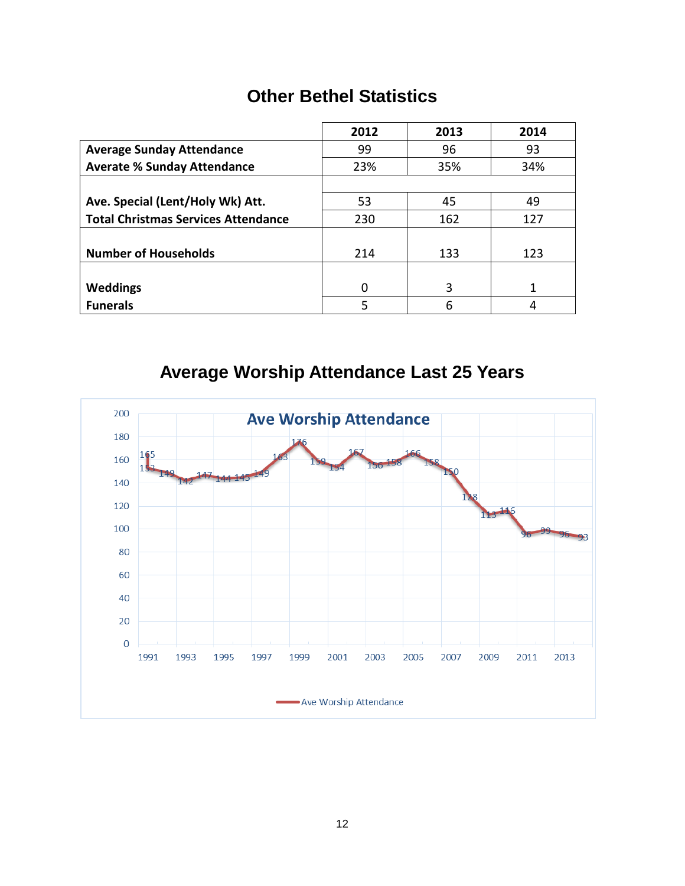## **Other Bethel Statistics**

|                                            | 2012 | 2013 | 2014 |
|--------------------------------------------|------|------|------|
| <b>Average Sunday Attendance</b>           | 99   | 96   | 93   |
| <b>Averate % Sunday Attendance</b>         | 23%  | 35%  | 34%  |
|                                            |      |      |      |
| Ave. Special (Lent/Holy Wk) Att.           | 53   | 45   | 49   |
| <b>Total Christmas Services Attendance</b> | 230  | 162  | 127  |
|                                            |      |      |      |
| <b>Number of Households</b>                | 214  | 133  | 123  |
|                                            |      |      |      |
| Weddings                                   | 0    | 3    | 1    |
| <b>Funerals</b>                            | 5    | 6    |      |

# **Average Worship Attendance Last 25 Years**

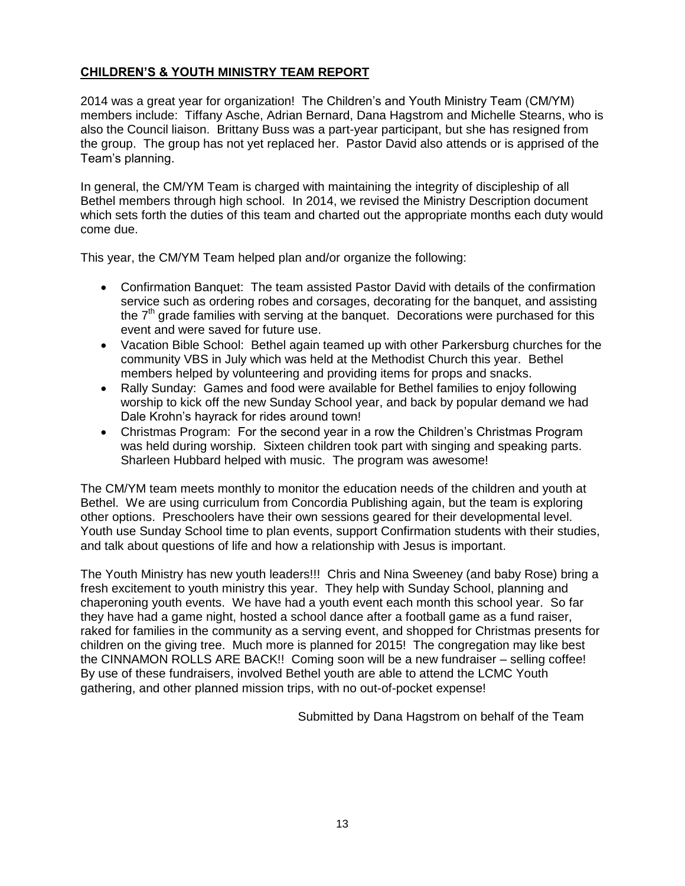#### **CHILDREN'S & YOUTH MINISTRY TEAM REPORT**

2014 was a great year for organization! The Children's and Youth Ministry Team (CM/YM) members include: Tiffany Asche, Adrian Bernard, Dana Hagstrom and Michelle Stearns, who is also the Council liaison. Brittany Buss was a part-year participant, but she has resigned from the group. The group has not yet replaced her. Pastor David also attends or is apprised of the Team's planning.

In general, the CM/YM Team is charged with maintaining the integrity of discipleship of all Bethel members through high school. In 2014, we revised the Ministry Description document which sets forth the duties of this team and charted out the appropriate months each duty would come due.

This year, the CM/YM Team helped plan and/or organize the following:

- Confirmation Banquet: The team assisted Pastor David with details of the confirmation service such as ordering robes and corsages, decorating for the banquet, and assisting the  $7<sup>th</sup>$  grade families with serving at the banquet. Decorations were purchased for this event and were saved for future use.
- Vacation Bible School: Bethel again teamed up with other Parkersburg churches for the community VBS in July which was held at the Methodist Church this year. Bethel members helped by volunteering and providing items for props and snacks.
- Rally Sunday: Games and food were available for Bethel families to enjoy following worship to kick off the new Sunday School year, and back by popular demand we had Dale Krohn's hayrack for rides around town!
- Christmas Program: For the second year in a row the Children's Christmas Program was held during worship. Sixteen children took part with singing and speaking parts. Sharleen Hubbard helped with music. The program was awesome!

The CM/YM team meets monthly to monitor the education needs of the children and youth at Bethel. We are using curriculum from Concordia Publishing again, but the team is exploring other options. Preschoolers have their own sessions geared for their developmental level. Youth use Sunday School time to plan events, support Confirmation students with their studies, and talk about questions of life and how a relationship with Jesus is important.

The Youth Ministry has new youth leaders!!! Chris and Nina Sweeney (and baby Rose) bring a fresh excitement to youth ministry this year. They help with Sunday School, planning and chaperoning youth events. We have had a youth event each month this school year. So far they have had a game night, hosted a school dance after a football game as a fund raiser, raked for families in the community as a serving event, and shopped for Christmas presents for children on the giving tree. Much more is planned for 2015! The congregation may like best the CINNAMON ROLLS ARE BACK!! Coming soon will be a new fundraiser – selling coffee! By use of these fundraisers, involved Bethel youth are able to attend the LCMC Youth gathering, and other planned mission trips, with no out-of-pocket expense!

Submitted by Dana Hagstrom on behalf of the Team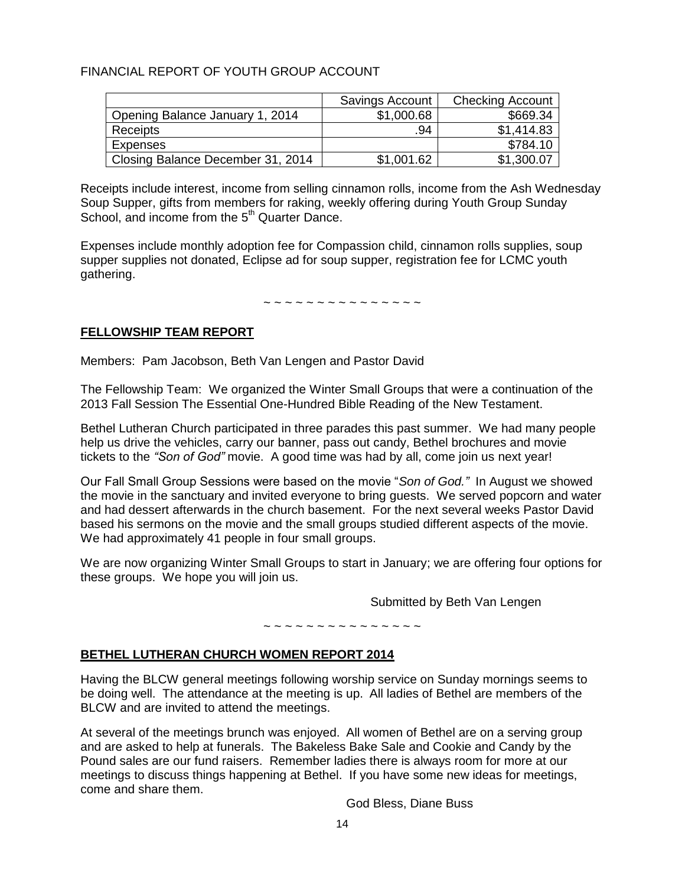#### FINANCIAL REPORT OF YOUTH GROUP ACCOUNT

|                                   | Savings Account | <b>Checking Account</b> |
|-----------------------------------|-----------------|-------------------------|
| Opening Balance January 1, 2014   | \$1,000.68      | \$669.34                |
| Receipts                          | .94             | \$1,414.83              |
| Expenses                          |                 | \$784.10                |
| Closing Balance December 31, 2014 | \$1,001.62      | \$1,300.07              |

Receipts include interest, income from selling cinnamon rolls, income from the Ash Wednesday Soup Supper, gifts from members for raking, weekly offering during Youth Group Sunday School, and income from the  $5<sup>th</sup>$  Quarter Dance.

Expenses include monthly adoption fee for Compassion child, cinnamon rolls supplies, soup supper supplies not donated, Eclipse ad for soup supper, registration fee for LCMC youth gathering.

~ ~ ~ ~ ~ ~ ~ ~ ~ ~ ~ ~ ~ ~ ~

#### **FELLOWSHIP TEAM REPORT**

Members: Pam Jacobson, Beth Van Lengen and Pastor David

The Fellowship Team: We organized the Winter Small Groups that were a continuation of the 2013 Fall Session The Essential One-Hundred Bible Reading of the New Testament.

Bethel Lutheran Church participated in three parades this past summer. We had many people help us drive the vehicles, carry our banner, pass out candy, Bethel brochures and movie tickets to the *"Son of God"* movie. A good time was had by all, come join us next year!

Our Fall Small Group Sessions were based on the movie "*Son of God."* In August we showed the movie in the sanctuary and invited everyone to bring guests. We served popcorn and water and had dessert afterwards in the church basement. For the next several weeks Pastor David based his sermons on the movie and the small groups studied different aspects of the movie. We had approximately 41 people in four small groups.

We are now organizing Winter Small Groups to start in January; we are offering four options for these groups. We hope you will join us.

Submitted by Beth Van Lengen

#### ~ ~ ~ ~ ~ ~ ~ ~ ~ ~

#### **BETHEL LUTHERAN CHURCH WOMEN REPORT 2014**

Having the BLCW general meetings following worship service on Sunday mornings seems to be doing well. The attendance at the meeting is up. All ladies of Bethel are members of the BLCW and are invited to attend the meetings.

At several of the meetings brunch was enjoyed. All women of Bethel are on a serving group and are asked to help at funerals. The Bakeless Bake Sale and Cookie and Candy by the Pound sales are our fund raisers. Remember ladies there is always room for more at our meetings to discuss things happening at Bethel. If you have some new ideas for meetings, come and share them.

God Bless, Diane Buss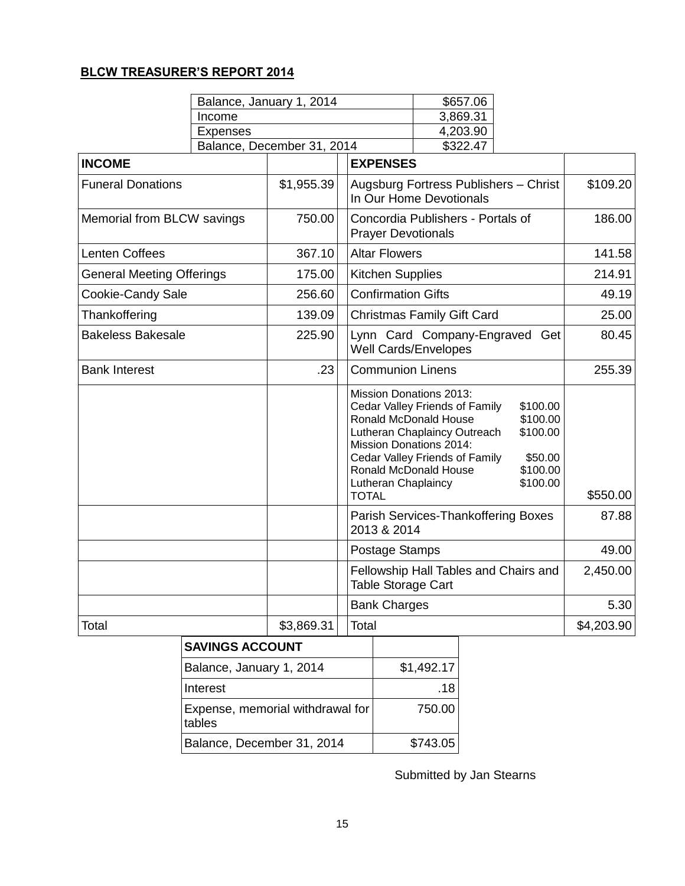## **BLCW TREASURER'S REPORT 2014**

|                                  |                            | Balance, January 1, 2014 |  | \$657.06                                                                                                                                                  |                                                                                                  |                                                                     |            |
|----------------------------------|----------------------------|--------------------------|--|-----------------------------------------------------------------------------------------------------------------------------------------------------------|--------------------------------------------------------------------------------------------------|---------------------------------------------------------------------|------------|
|                                  | Income                     |                          |  | 3,869.31                                                                                                                                                  |                                                                                                  |                                                                     |            |
| <b>Expenses</b>                  |                            |                          |  | 4,203.90                                                                                                                                                  |                                                                                                  |                                                                     |            |
|                                  | Balance, December 31, 2014 |                          |  |                                                                                                                                                           | \$322.47                                                                                         |                                                                     |            |
| <b>INCOME</b>                    |                            |                          |  | <b>EXPENSES</b>                                                                                                                                           |                                                                                                  |                                                                     |            |
| <b>Funeral Donations</b>         |                            | \$1,955.39               |  |                                                                                                                                                           | Augsburg Fortress Publishers - Christ<br>In Our Home Devotionals                                 |                                                                     | \$109.20   |
| Memorial from BLCW savings       |                            | 750.00                   |  |                                                                                                                                                           | Concordia Publishers - Portals of<br><b>Prayer Devotionals</b>                                   |                                                                     |            |
| <b>Lenten Coffees</b>            |                            | 367.10                   |  | <b>Altar Flowers</b>                                                                                                                                      |                                                                                                  |                                                                     | 141.58     |
| <b>General Meeting Offerings</b> |                            | 175.00                   |  | <b>Kitchen Supplies</b>                                                                                                                                   |                                                                                                  |                                                                     | 214.91     |
| <b>Cookie-Candy Sale</b>         |                            | 256.60                   |  | <b>Confirmation Gifts</b>                                                                                                                                 |                                                                                                  |                                                                     | 49.19      |
| Thankoffering                    |                            | 139.09                   |  |                                                                                                                                                           | <b>Christmas Family Gift Card</b>                                                                |                                                                     | 25.00      |
| <b>Bakeless Bakesale</b>         |                            | 225.90                   |  | <b>Well Cards/Envelopes</b>                                                                                                                               | Lynn Card Company-Engraved Get                                                                   |                                                                     | 80.45      |
| <b>Bank Interest</b>             |                            | .23                      |  | <b>Communion Linens</b>                                                                                                                                   |                                                                                                  |                                                                     | 255.39     |
|                                  |                            |                          |  | <b>Mission Donations 2013:</b><br>Ronald McDonald House<br><b>Mission Donations 2014:</b><br>Ronald McDonald House<br>Lutheran Chaplaincy<br><b>TOTAL</b> | Cedar Valley Friends of Family<br>Lutheran Chaplaincy Outreach<br>Cedar Valley Friends of Family | \$100.00<br>\$100.00<br>\$100.00<br>\$50.00<br>\$100.00<br>\$100.00 | \$550.00   |
|                                  |                            |                          |  | 2013 & 2014                                                                                                                                               | Parish Services-Thankoffering Boxes                                                              |                                                                     | 87.88      |
|                                  |                            |                          |  | Postage Stamps                                                                                                                                            |                                                                                                  |                                                                     | 49.00      |
|                                  |                            |                          |  | Table Storage Cart                                                                                                                                        | Fellowship Hall Tables and Chairs and                                                            |                                                                     | 2,450.00   |
|                                  |                            |                          |  | <b>Bank Charges</b>                                                                                                                                       |                                                                                                  |                                                                     | 5.30       |
| Total                            |                            | \$3,869.31               |  | Total                                                                                                                                                     |                                                                                                  |                                                                     | \$4,203.90 |

| <b>SAVINGS ACCOUNT</b>                     |            |
|--------------------------------------------|------------|
| Balance, January 1, 2014                   | \$1,492.17 |
| Interest                                   | .18        |
| Expense, memorial withdrawal for<br>tables | 750.00     |
| Balance, December 31, 2014                 | \$743.05   |

Submitted by Jan Stearns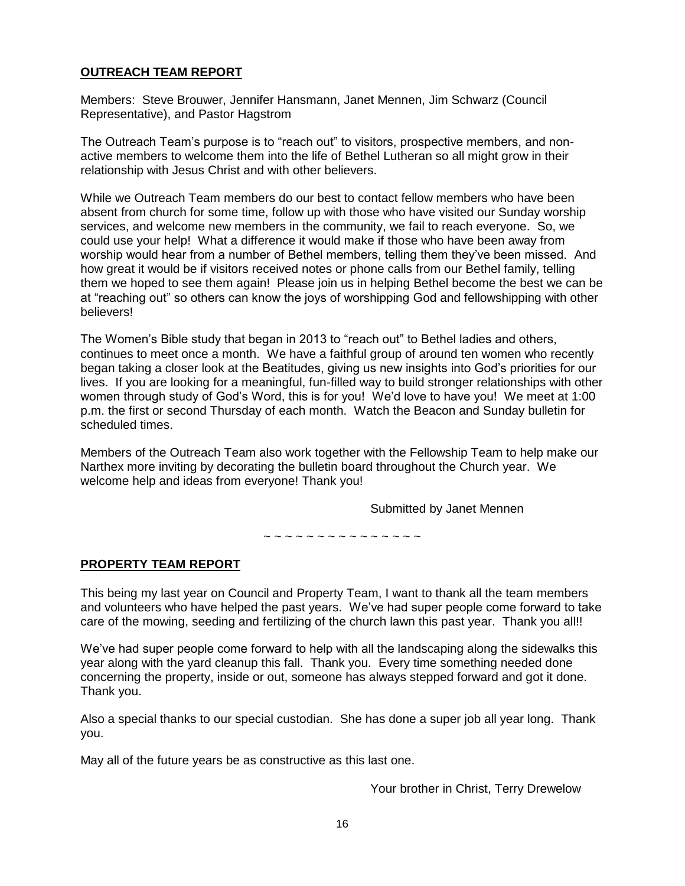#### **OUTREACH TEAM REPORT**

Members: Steve Brouwer, Jennifer Hansmann, Janet Mennen, Jim Schwarz (Council Representative), and Pastor Hagstrom

The Outreach Team's purpose is to "reach out" to visitors, prospective members, and nonactive members to welcome them into the life of Bethel Lutheran so all might grow in their relationship with Jesus Christ and with other believers.

While we Outreach Team members do our best to contact fellow members who have been absent from church for some time, follow up with those who have visited our Sunday worship services, and welcome new members in the community, we fail to reach everyone. So, we could use your help! What a difference it would make if those who have been away from worship would hear from a number of Bethel members, telling them they've been missed. And how great it would be if visitors received notes or phone calls from our Bethel family, telling them we hoped to see them again! Please join us in helping Bethel become the best we can be at "reaching out" so others can know the joys of worshipping God and fellowshipping with other believers!

The Women's Bible study that began in 2013 to "reach out" to Bethel ladies and others, continues to meet once a month. We have a faithful group of around ten women who recently began taking a closer look at the Beatitudes, giving us new insights into God's priorities for our lives. If you are looking for a meaningful, fun-filled way to build stronger relationships with other women through study of God's Word, this is for you! We'd love to have you! We meet at 1:00 p.m. the first or second Thursday of each month. Watch the Beacon and Sunday bulletin for scheduled times.

Members of the Outreach Team also work together with the Fellowship Team to help make our Narthex more inviting by decorating the bulletin board throughout the Church year. We welcome help and ideas from everyone! Thank you!

Submitted by Janet Mennen

~ ~ ~ ~ ~ ~ ~ ~ ~ ~ ~ ~ ~ ~ ~

#### **PROPERTY TEAM REPORT**

This being my last year on Council and Property Team, I want to thank all the team members and volunteers who have helped the past years. We've had super people come forward to take care of the mowing, seeding and fertilizing of the church lawn this past year. Thank you all!!

We've had super people come forward to help with all the landscaping along the sidewalks this year along with the yard cleanup this fall. Thank you. Every time something needed done concerning the property, inside or out, someone has always stepped forward and got it done. Thank you.

Also a special thanks to our special custodian. She has done a super job all year long. Thank you.

May all of the future years be as constructive as this last one.

Your brother in Christ, Terry Drewelow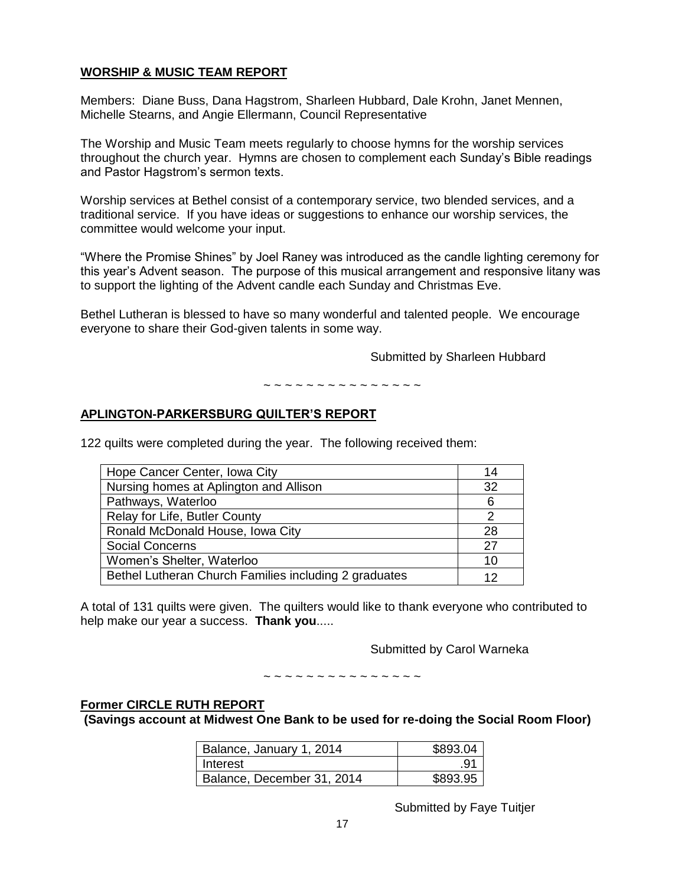#### **WORSHIP & MUSIC TEAM REPORT**

Members: Diane Buss, Dana Hagstrom, Sharleen Hubbard, Dale Krohn, Janet Mennen, Michelle Stearns, and Angie Ellermann, Council Representative

The Worship and Music Team meets regularly to choose hymns for the worship services throughout the church year. Hymns are chosen to complement each Sunday's Bible readings and Pastor Hagstrom's sermon texts.

Worship services at Bethel consist of a contemporary service, two blended services, and a traditional service. If you have ideas or suggestions to enhance our worship services, the committee would welcome your input.

"Where the Promise Shines" by Joel Raney was introduced as the candle lighting ceremony for this year's Advent season. The purpose of this musical arrangement and responsive litany was to support the lighting of the Advent candle each Sunday and Christmas Eve.

Bethel Lutheran is blessed to have so many wonderful and talented people. We encourage everyone to share their God-given talents in some way.

Submitted by Sharleen Hubbard

~ ~ ~ ~ ~ ~ ~ ~ ~ ~ ~ ~ ~ ~ ~

#### **APLINGTON-PARKERSBURG QUILTER'S REPORT**

122 quilts were completed during the year. The following received them:

| Hope Cancer Center, Iowa City                         | 14 |
|-------------------------------------------------------|----|
| Nursing homes at Aplington and Allison                | 32 |
| Pathways, Waterloo                                    | 6  |
| Relay for Life, Butler County                         |    |
| Ronald McDonald House, Iowa City                      | 28 |
| <b>Social Concerns</b>                                | 27 |
| Women's Shelter, Waterloo                             | 10 |
| Bethel Lutheran Church Families including 2 graduates | 12 |

A total of 131 quilts were given. The quilters would like to thank everyone who contributed to help make our year a success. **Thank you**.....

Submitted by Carol Warneka

~ ~ ~ ~ ~ ~ ~ ~ ~ ~ ~ ~ ~ ~ ~

#### **Former CIRCLE RUTH REPORT**

**(Savings account at Midwest One Bank to be used for re-doing the Social Room Floor)**

| Balance, January 1, 2014   | \$893.04 |
|----------------------------|----------|
| I Interest                 | .91      |
| Balance, December 31, 2014 | \$893.95 |

Submitted by Faye Tuitjer